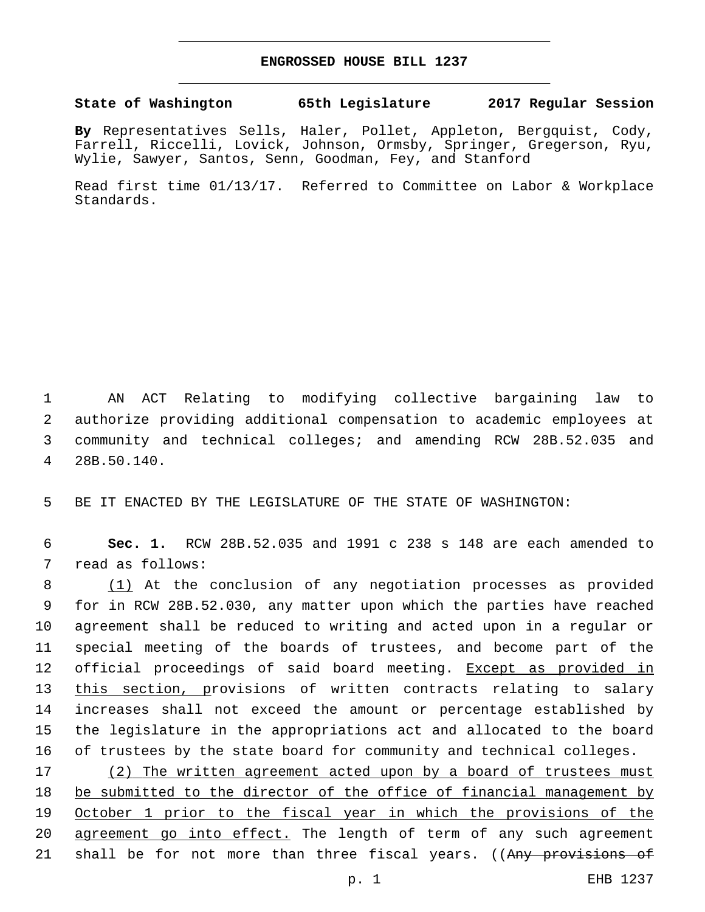## **ENGROSSED HOUSE BILL 1237**

## **State of Washington 65th Legislature 2017 Regular Session**

**By** Representatives Sells, Haler, Pollet, Appleton, Bergquist, Cody, Farrell, Riccelli, Lovick, Johnson, Ormsby, Springer, Gregerson, Ryu, Wylie, Sawyer, Santos, Senn, Goodman, Fey, and Stanford

Read first time 01/13/17. Referred to Committee on Labor & Workplace Standards.

 AN ACT Relating to modifying collective bargaining law to authorize providing additional compensation to academic employees at community and technical colleges; and amending RCW 28B.52.035 and 28B.50.140.4

5 BE IT ENACTED BY THE LEGISLATURE OF THE STATE OF WASHINGTON:

6 **Sec. 1.** RCW 28B.52.035 and 1991 c 238 s 148 are each amended to 7 read as follows:

 (1) At the conclusion of any negotiation processes as provided for in RCW 28B.52.030, any matter upon which the parties have reached agreement shall be reduced to writing and acted upon in a regular or special meeting of the boards of trustees, and become part of the 12 official proceedings of said board meeting. Except as provided in 13 this section, provisions of written contracts relating to salary increases shall not exceed the amount or percentage established by the legislature in the appropriations act and allocated to the board of trustees by the state board for community and technical colleges.

17 (2) The written agreement acted upon by a board of trustees must 18 be submitted to the director of the office of financial management by 19 October 1 prior to the fiscal year in which the provisions of the 20 agreement go into effect. The length of term of any such agreement 21 shall be for not more than three fiscal years. ((Any provisions of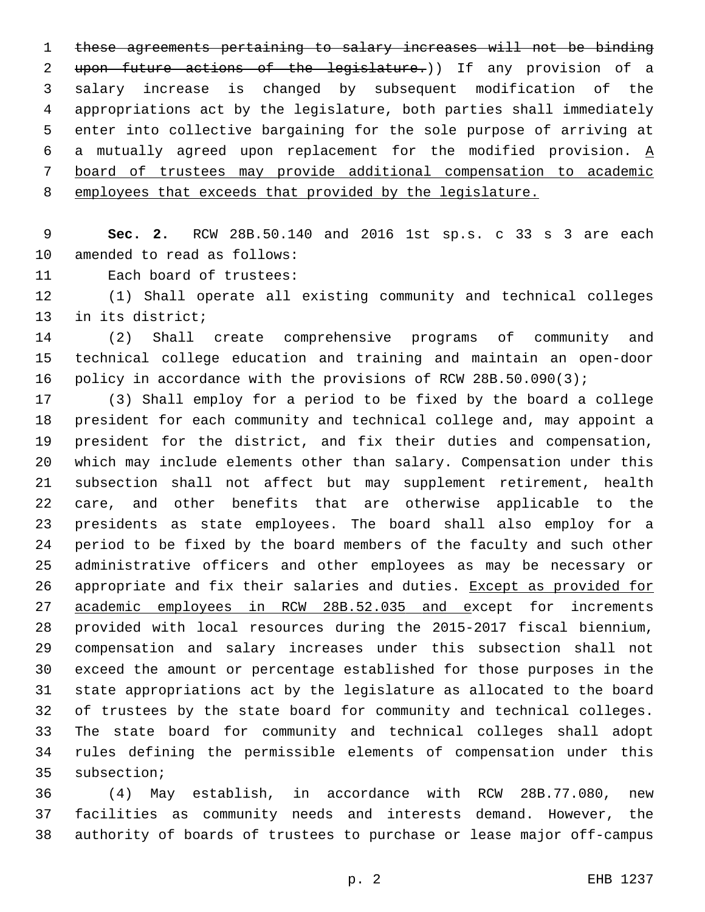these agreements pertaining to salary increases will not be binding upon future actions of the legislature.)) If any provision of a salary increase is changed by subsequent modification of the appropriations act by the legislature, both parties shall immediately enter into collective bargaining for the sole purpose of arriving at 6 a mutually agreed upon replacement for the modified provision.  $\underline{A}$  board of trustees may provide additional compensation to academic employees that exceeds that provided by the legislature.

 **Sec. 2.** RCW 28B.50.140 and 2016 1st sp.s. c 33 s 3 are each 10 amended to read as follows:

11 Each board of trustees:

 (1) Shall operate all existing community and technical colleges 13 in its district;

 (2) Shall create comprehensive programs of community and technical college education and training and maintain an open-door policy in accordance with the provisions of RCW 28B.50.090(3);

 (3) Shall employ for a period to be fixed by the board a college president for each community and technical college and, may appoint a president for the district, and fix their duties and compensation, which may include elements other than salary. Compensation under this subsection shall not affect but may supplement retirement, health care, and other benefits that are otherwise applicable to the presidents as state employees. The board shall also employ for a period to be fixed by the board members of the faculty and such other administrative officers and other employees as may be necessary or appropriate and fix their salaries and duties. Except as provided for academic employees in RCW 28B.52.035 and except for increments provided with local resources during the 2015-2017 fiscal biennium, compensation and salary increases under this subsection shall not exceed the amount or percentage established for those purposes in the state appropriations act by the legislature as allocated to the board of trustees by the state board for community and technical colleges. The state board for community and technical colleges shall adopt rules defining the permissible elements of compensation under this 35 subsection;

 (4) May establish, in accordance with RCW 28B.77.080, new facilities as community needs and interests demand. However, the authority of boards of trustees to purchase or lease major off-campus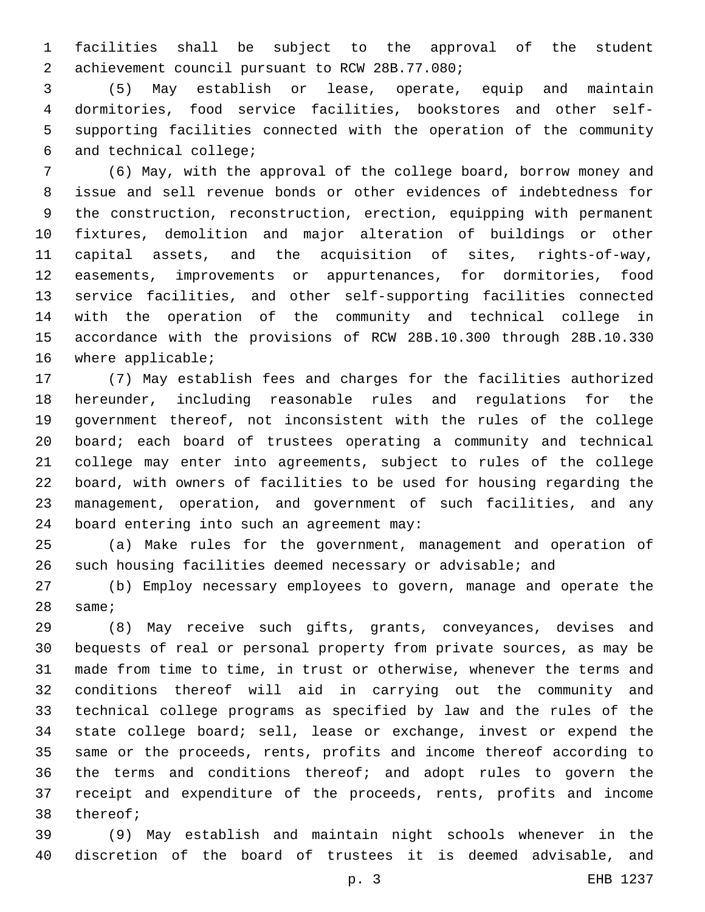facilities shall be subject to the approval of the student achievement council pursuant to RCW 28B.77.080;2

 (5) May establish or lease, operate, equip and maintain dormitories, food service facilities, bookstores and other self- supporting facilities connected with the operation of the community 6 and technical college;

 (6) May, with the approval of the college board, borrow money and issue and sell revenue bonds or other evidences of indebtedness for the construction, reconstruction, erection, equipping with permanent fixtures, demolition and major alteration of buildings or other capital assets, and the acquisition of sites, rights-of-way, easements, improvements or appurtenances, for dormitories, food service facilities, and other self-supporting facilities connected with the operation of the community and technical college in accordance with the provisions of RCW 28B.10.300 through 28B.10.330 16 where applicable;

 (7) May establish fees and charges for the facilities authorized hereunder, including reasonable rules and regulations for the government thereof, not inconsistent with the rules of the college board; each board of trustees operating a community and technical college may enter into agreements, subject to rules of the college board, with owners of facilities to be used for housing regarding the management, operation, and government of such facilities, and any 24 board entering into such an agreement may:

 (a) Make rules for the government, management and operation of such housing facilities deemed necessary or advisable; and

 (b) Employ necessary employees to govern, manage and operate the same;

 (8) May receive such gifts, grants, conveyances, devises and bequests of real or personal property from private sources, as may be made from time to time, in trust or otherwise, whenever the terms and conditions thereof will aid in carrying out the community and technical college programs as specified by law and the rules of the state college board; sell, lease or exchange, invest or expend the same or the proceeds, rents, profits and income thereof according to the terms and conditions thereof; and adopt rules to govern the receipt and expenditure of the proceeds, rents, profits and income 38 thereof;

 (9) May establish and maintain night schools whenever in the discretion of the board of trustees it is deemed advisable, and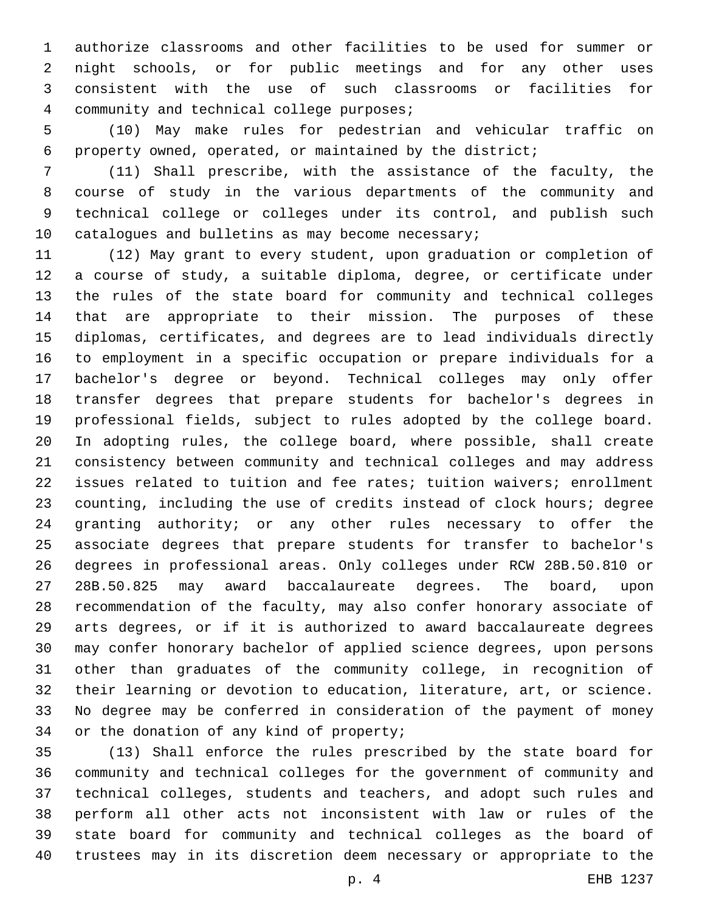authorize classrooms and other facilities to be used for summer or night schools, or for public meetings and for any other uses consistent with the use of such classrooms or facilities for 4 community and technical college purposes;

 (10) May make rules for pedestrian and vehicular traffic on property owned, operated, or maintained by the district;

 (11) Shall prescribe, with the assistance of the faculty, the course of study in the various departments of the community and technical college or colleges under its control, and publish such 10 catalogues and bulletins as may become necessary;

 (12) May grant to every student, upon graduation or completion of a course of study, a suitable diploma, degree, or certificate under the rules of the state board for community and technical colleges that are appropriate to their mission. The purposes of these diplomas, certificates, and degrees are to lead individuals directly to employment in a specific occupation or prepare individuals for a bachelor's degree or beyond. Technical colleges may only offer transfer degrees that prepare students for bachelor's degrees in professional fields, subject to rules adopted by the college board. In adopting rules, the college board, where possible, shall create consistency between community and technical colleges and may address issues related to tuition and fee rates; tuition waivers; enrollment counting, including the use of credits instead of clock hours; degree granting authority; or any other rules necessary to offer the associate degrees that prepare students for transfer to bachelor's degrees in professional areas. Only colleges under RCW 28B.50.810 or 28B.50.825 may award baccalaureate degrees. The board, upon recommendation of the faculty, may also confer honorary associate of arts degrees, or if it is authorized to award baccalaureate degrees may confer honorary bachelor of applied science degrees, upon persons other than graduates of the community college, in recognition of their learning or devotion to education, literature, art, or science. No degree may be conferred in consideration of the payment of money 34 or the donation of any kind of property;

 (13) Shall enforce the rules prescribed by the state board for community and technical colleges for the government of community and technical colleges, students and teachers, and adopt such rules and perform all other acts not inconsistent with law or rules of the state board for community and technical colleges as the board of trustees may in its discretion deem necessary or appropriate to the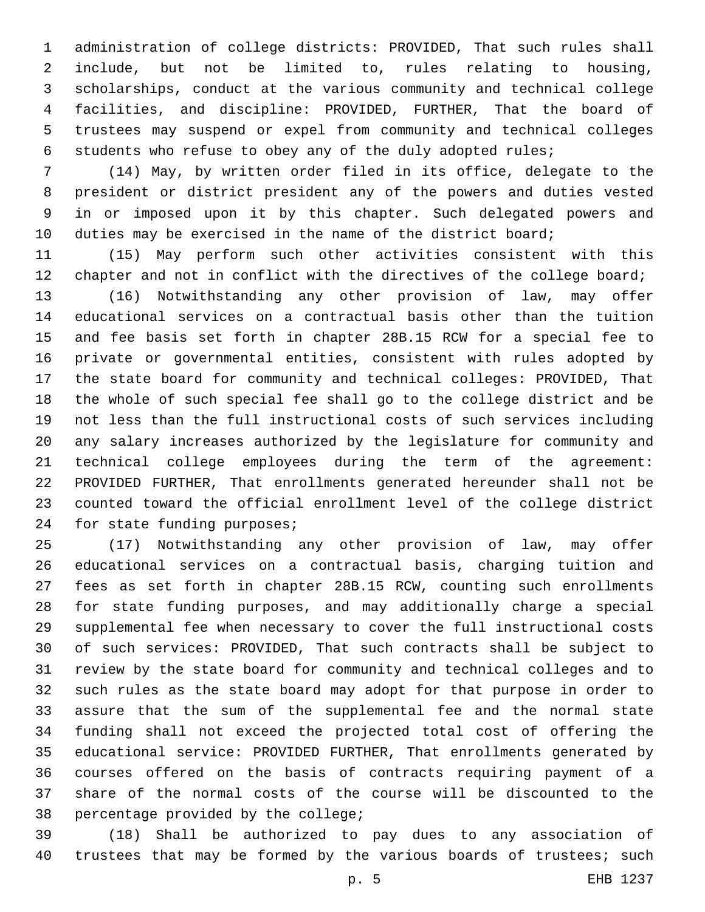administration of college districts: PROVIDED, That such rules shall include, but not be limited to, rules relating to housing, scholarships, conduct at the various community and technical college facilities, and discipline: PROVIDED, FURTHER, That the board of trustees may suspend or expel from community and technical colleges students who refuse to obey any of the duly adopted rules;

 (14) May, by written order filed in its office, delegate to the president or district president any of the powers and duties vested in or imposed upon it by this chapter. Such delegated powers and 10 duties may be exercised in the name of the district board;

 (15) May perform such other activities consistent with this 12 chapter and not in conflict with the directives of the college board;

 (16) Notwithstanding any other provision of law, may offer educational services on a contractual basis other than the tuition and fee basis set forth in chapter 28B.15 RCW for a special fee to private or governmental entities, consistent with rules adopted by the state board for community and technical colleges: PROVIDED, That the whole of such special fee shall go to the college district and be not less than the full instructional costs of such services including any salary increases authorized by the legislature for community and technical college employees during the term of the agreement: PROVIDED FURTHER, That enrollments generated hereunder shall not be counted toward the official enrollment level of the college district 24 for state funding purposes;

 (17) Notwithstanding any other provision of law, may offer educational services on a contractual basis, charging tuition and fees as set forth in chapter 28B.15 RCW, counting such enrollments for state funding purposes, and may additionally charge a special supplemental fee when necessary to cover the full instructional costs of such services: PROVIDED, That such contracts shall be subject to review by the state board for community and technical colleges and to such rules as the state board may adopt for that purpose in order to assure that the sum of the supplemental fee and the normal state funding shall not exceed the projected total cost of offering the educational service: PROVIDED FURTHER, That enrollments generated by courses offered on the basis of contracts requiring payment of a share of the normal costs of the course will be discounted to the 38 percentage provided by the college;

 (18) Shall be authorized to pay dues to any association of 40 trustees that may be formed by the various boards of trustees; such